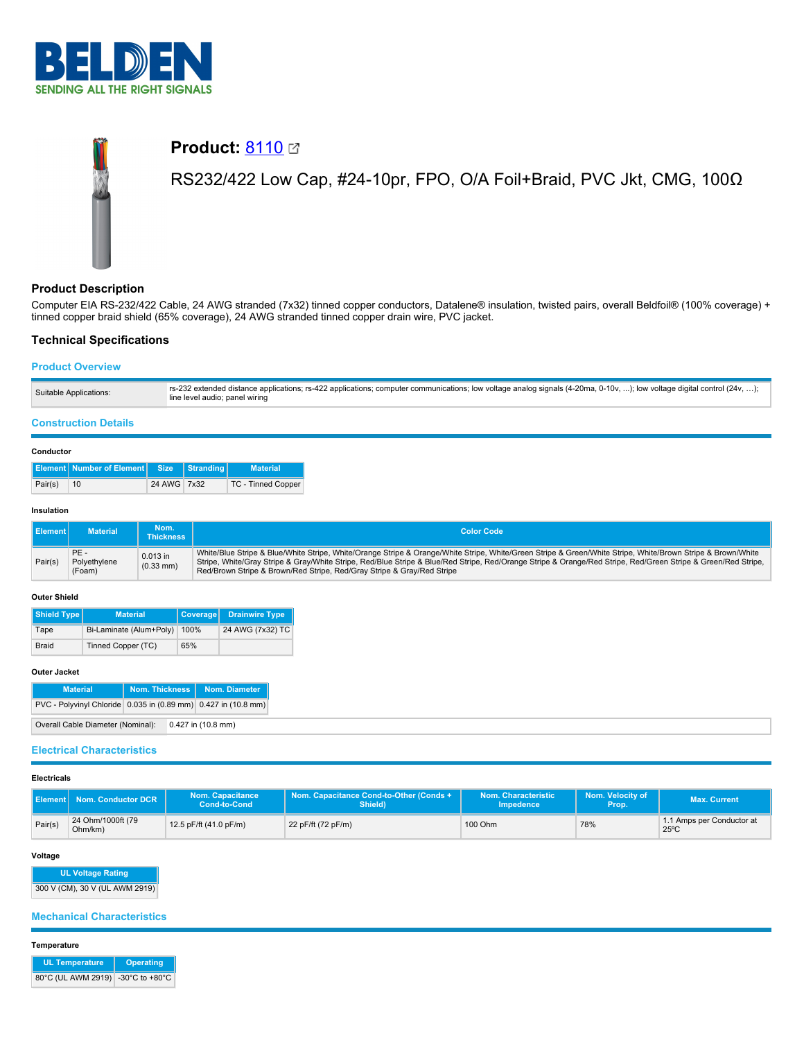

# **Product: [8110](https://catalog.belden.com/index.cfm?event=pd&p=PF_8110&tab=downloads) Ø** RS232/422 Low Cap, #24-10pr, FPO, O/A Foil+Braid, PVC Jkt, CMG, 100Ω

## **Product Description**

Computer EIA RS-232/422 Cable, 24 AWG stranded (7x32) tinned copper conductors, Datalene® insulation, twisted pairs, overall Beldfoil® (100% coverage) + tinned copper braid shield (65% coverage), 24 AWG stranded tinned copper drain wire, PVC jacket.

## **Technical Specifications**

## **Product Overview**

| rs-232 extended distance applications; rs-422 applications; computer communications; low voltage analog signals (4-20ma, 0-10v, ); low voltage digital control (24v, );<br>Suitable Applications:<br>line level audio; panel wiring |  |
|-------------------------------------------------------------------------------------------------------------------------------------------------------------------------------------------------------------------------------------|--|
|-------------------------------------------------------------------------------------------------------------------------------------------------------------------------------------------------------------------------------------|--|

## **Construction Details**

#### **Conductor**

|         | Element Number of Element Size Stranding |             | <b>Material</b>    |
|---------|------------------------------------------|-------------|--------------------|
| Pair(s) | 10                                       | 24 AWG 7x32 | TC - Tinned Copper |

#### **Insulation**

| Il Element I | <b>Material</b>               | Nom.<br>Thickness       | <b>Color Code</b>                                                                                                                                                                                                                                                                                                                                                                                      |
|--------------|-------------------------------|-------------------------|--------------------------------------------------------------------------------------------------------------------------------------------------------------------------------------------------------------------------------------------------------------------------------------------------------------------------------------------------------------------------------------------------------|
| Pair(s)      | PE-<br>Polyethylene<br>(Foam) | 0.013 in<br>$(0.33$ mm) | White/Blue Stripe & Blue/White Stripe, White/Orange Stripe & Orange/White Stripe, White/Green Stripe & Green/White Stripe, White/Brown Stripe & Brown/White<br>Stripe, White/Gray Stripe & Gray/White Stripe, Red/Blue Stripe & Blue/Red Stripe, Red/Orange Stripe & Orange/Red Stripe, Red/Green Stripe & Green/Red Stripe,<br>Red/Brown Stripe & Brown/Red Stripe, Red/Gray Stripe & Gray/Red Stripe |

## **Outer Shield**

| Shield Type  | <b>Material</b>         | Coverage | <b>Drainwire Type</b> |
|--------------|-------------------------|----------|-----------------------|
| Tape         | Bi-Laminate (Alum+Poly) | 100%     | 24 AWG (7x32) TC      |
| <b>Braid</b> | Tinned Copper (TC)      | 65%      |                       |

## **Outer Jacket**

| <b>Material</b>                                                |  | Nom. Thickness   Nom. Diameter |
|----------------------------------------------------------------|--|--------------------------------|
| PVC - Polyvinyl Chloride 0.035 in (0.89 mm) 0.427 in (10.8 mm) |  |                                |
| Overall Cable Diameter (Nominal): 0.427 in (10.8 mm)           |  |                                |

## **Electrical Characteristics**

## **Electricals**

| ‼ Element I <sup>∖</sup> | Nom. Conductor DCR           | <b>Nom. Capacitance</b><br>Cond-to-Cond | Nom. Capacitance Cond-to-Other (Conds +<br>Shield) | Nom. Characteristic<br><b>Impedence</b> | Nom. Velocity of<br>Prop. | <b>Max. Current</b>                         |
|--------------------------|------------------------------|-----------------------------------------|----------------------------------------------------|-----------------------------------------|---------------------------|---------------------------------------------|
| Pair(s)                  | 24 Ohm/1000ft (79<br>Ohm/km) | 12.5 pF/ft (41.0 pF/m)                  | 22 pF/ft (72 pF/m)                                 | 100 Ohm                                 | 78%                       | 1.1 Amps per Conductor at<br>$25^{\circ}$ C |

#### **Voltage**

**UL Voltage Rating**

300 V (CM), 30 V (UL AWM 2919)

## **Mechanical Characteristics**

#### **Temperature**

| <b>UL Temperature</b>             | Operating |  |  |
|-----------------------------------|-----------|--|--|
| 80°C (UL AWM 2919) -30°C to +80°C |           |  |  |